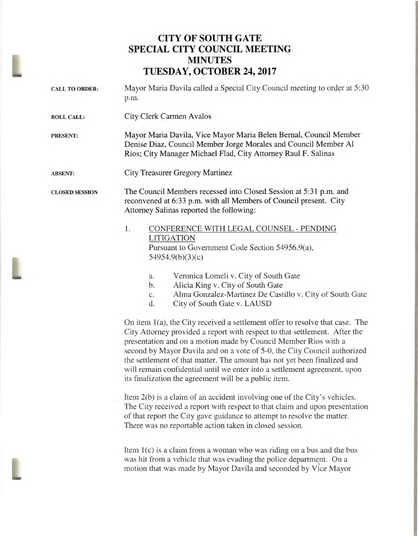## **CITY OF SOUTH GATE SPECIAL CITY COUNCIL MEETING MINUTES TUESDAY, OCTOBER 24, 2017**

| <b>CALL TO ORDER:</b> | Mayor Maria Davila called a Special City Council meeting to order at 5:30<br>p.m.                                                                                                                                                                                                                                                                                                                                                                                                                                                                                                                                                                                                       |
|-----------------------|-----------------------------------------------------------------------------------------------------------------------------------------------------------------------------------------------------------------------------------------------------------------------------------------------------------------------------------------------------------------------------------------------------------------------------------------------------------------------------------------------------------------------------------------------------------------------------------------------------------------------------------------------------------------------------------------|
| <b>ROLL CALL:</b>     | City Clerk Carmen Avalos                                                                                                                                                                                                                                                                                                                                                                                                                                                                                                                                                                                                                                                                |
| <b>PRESENT:</b>       | Mayor Maria Davila, Vice Mayor Maria Belen Bernal, Council Member<br>Denise Diaz, Council Member Jorge Morales and Council Member Al<br>Rios; City Manager Michael Flad, City Attorney Raul F. Salinas                                                                                                                                                                                                                                                                                                                                                                                                                                                                                  |
| <b>ABSENT:</b>        | <b>City Treasurer Gregory Martinez</b>                                                                                                                                                                                                                                                                                                                                                                                                                                                                                                                                                                                                                                                  |
| <b>CLOSED SESSION</b> | The Council Members recessed into Closed Session at 5:31 p.m. and<br>reconvened at 6:33 p.m. with all Members of Council present. City<br>Attorney Salinas reported the following:                                                                                                                                                                                                                                                                                                                                                                                                                                                                                                      |
|                       | 1.<br>CONFERENCE WITH LEGAL COUNSEL - PENDING<br><b>LITIGATION</b><br>Pursuant to Government Code Section 54956.9(a),<br>54954.9(b)(3)(c)                                                                                                                                                                                                                                                                                                                                                                                                                                                                                                                                               |
|                       | Veronica Lomeli v. City of South Gate<br>a.<br>Alicia King v. City of South Gate<br>b.<br>Alma Gonzalez-Martinez De Castillo v. City of South Gate<br>c.<br>City of South Gate v. LAUSD<br>d.                                                                                                                                                                                                                                                                                                                                                                                                                                                                                           |
|                       | On item 1(a), the City received a settlement offer to resolve that case. The<br>City Attorney provided a report with respect to that settlement. After the<br>presentation and on a motion made by Council Member Rios with a<br>second by Mayor Davila and on a vote of 5-0, the City Council authorized<br>the settlement of that matter. The amount has not yet been finalized and<br>will remain confidential until we enter into a settlement agreement, upon<br>its finalization the agreement will be a public item.<br>Item 2(b) is a claim of an accident involving one of the City's vehicles.<br>The City received a report with respect to that claim and upon presentation |
|                       | of that report the City gave guidance to attempt to resolve the matter.                                                                                                                                                                                                                                                                                                                                                                                                                                                                                                                                                                                                                 |

There was no reportable action taken in closed session.

Item 1(c) is a claim from a woman who was riding on a bus and the bus was hit from a vehicle that was evading the police department. On a motion that was made by Mayor Davila and seconded by Vice Mayor